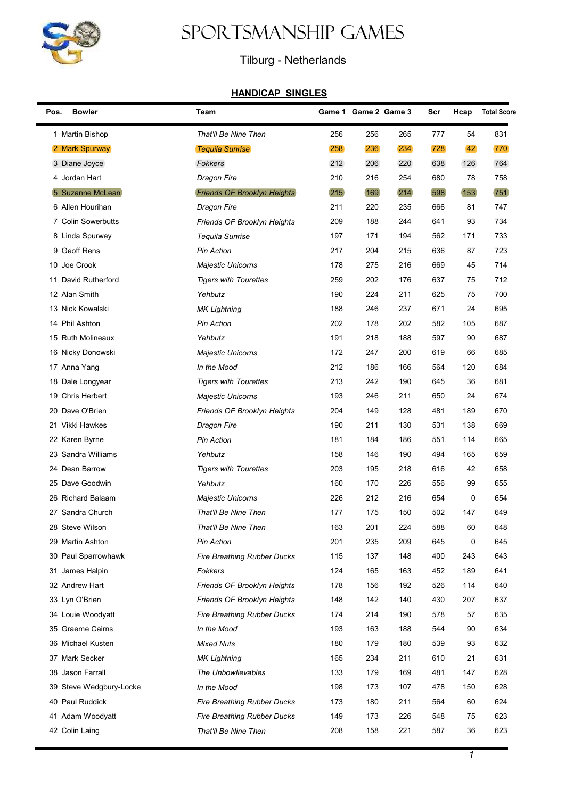

## Sportsmanship Games

## Tilburg - Netherlands

## HANDICAP SINGLES

| Pos. | <b>Bowler</b>           | Team                               |     | Game 1 Game 2 Game 3 |     | Scr | Hcap | <b>Total Score</b> |
|------|-------------------------|------------------------------------|-----|----------------------|-----|-----|------|--------------------|
|      | 1 Martin Bishop         | That'll Be Nine Then               | 256 | 256                  | 265 | 777 | 54   | 831                |
|      | 2 Mark Spurway          | <b>Tequila Sunrise</b>             | 258 | 236                  | 234 | 728 | 42   | 770                |
|      | 3 Diane Joyce           | <b>Fokkers</b>                     | 212 | 206                  | 220 | 638 | 126  | 764                |
|      | 4 Jordan Hart           | Dragon Fire                        | 210 | 216                  | 254 | 680 | 78   | 758                |
|      | 5 Suzanne McLean        | <b>Friends OF Brooklyn Heights</b> | 215 | 169                  | 214 | 598 | 153  | 751                |
|      | 6 Allen Hourihan        | <b>Dragon Fire</b>                 | 211 | 220                  | 235 | 666 | 81   | 747                |
|      | 7 Colin Sowerbutts      | Friends OF Brooklyn Heights        | 209 | 188                  | 244 | 641 | 93   | 734                |
|      | 8 Linda Spurway         | Tequila Sunrise                    | 197 | 171                  | 194 | 562 | 171  | 733                |
|      | 9 Geoff Rens            | <b>Pin Action</b>                  | 217 | 204                  | 215 | 636 | 87   | 723                |
|      | 10 Joe Crook            | <b>Majestic Unicorns</b>           | 178 | 275                  | 216 | 669 | 45   | 714                |
|      | 11 David Rutherford     | <b>Tigers with Tourettes</b>       | 259 | 202                  | 176 | 637 | 75   | 712                |
|      | 12 Alan Smith           | Yehbutz                            | 190 | 224                  | 211 | 625 | 75   | 700                |
|      | 13 Nick Kowalski        | <b>MK Lightning</b>                | 188 | 246                  | 237 | 671 | 24   | 695                |
|      | 14 Phil Ashton          | <b>Pin Action</b>                  | 202 | 178                  | 202 | 582 | 105  | 687                |
|      | 15 Ruth Molineaux       | Yehbutz                            | 191 | 218                  | 188 | 597 | 90   | 687                |
|      | 16 Nicky Donowski       | Majestic Unicorns                  | 172 | 247                  | 200 | 619 | 66   | 685                |
|      | 17 Anna Yang            | In the Mood                        | 212 | 186                  | 166 | 564 | 120  | 684                |
|      | 18 Dale Longyear        | <b>Tigers with Tourettes</b>       | 213 | 242                  | 190 | 645 | 36   | 681                |
|      | 19 Chris Herbert        | <b>Majestic Unicorns</b>           | 193 | 246                  | 211 | 650 | 24   | 674                |
|      | 20 Dave O'Brien         | Friends OF Brooklyn Heights        | 204 | 149                  | 128 | 481 | 189  | 670                |
|      | 21 Vikki Hawkes         | Dragon Fire                        | 190 | 211                  | 130 | 531 | 138  | 669                |
|      | 22 Karen Byrne          | <b>Pin Action</b>                  | 181 | 184                  | 186 | 551 | 114  | 665                |
|      | 23 Sandra Williams      | Yehbutz                            | 158 | 146                  | 190 | 494 | 165  | 659                |
|      | 24 Dean Barrow          | <b>Tigers with Tourettes</b>       | 203 | 195                  | 218 | 616 | 42   | 658                |
|      | 25 Dave Goodwin         | Yehbutz                            | 160 | 170                  | 226 | 556 | 99   | 655                |
|      | 26 Richard Balaam       | Majestic Unicorns                  | 226 | 212                  | 216 | 654 | 0    | 654                |
|      | 27 Sandra Church        | That'll Be Nine Then               | 177 | 175                  | 150 | 502 | 147  | 649                |
|      | 28  Steve Wilson        | That'll Be Nine Then               | 163 | 201                  | 224 | 588 | 60   | 648                |
|      | 29 Martin Ashton        | <b>Pin Action</b>                  | 201 | 235                  | 209 | 645 | 0    | 645                |
|      | 30 Paul Sparrowhawk     | <b>Fire Breathing Rubber Ducks</b> | 115 | 137                  | 148 | 400 | 243  | 643                |
|      | 31 James Halpin         | Fokkers                            | 124 | 165                  | 163 | 452 | 189  | 641                |
|      | 32 Andrew Hart          | <b>Friends OF Brooklyn Heights</b> | 178 | 156                  | 192 | 526 | 114  | 640                |
|      | 33 Lyn O'Brien          | Friends OF Brooklyn Heights        | 148 | 142                  | 140 | 430 | 207  | 637                |
|      | 34 Louie Woodyatt       | <b>Fire Breathing Rubber Ducks</b> | 174 | 214                  | 190 | 578 | 57   | 635                |
|      | 35 Graeme Cairns        | In the Mood                        | 193 | 163                  | 188 | 544 | 90   | 634                |
|      | 36 Michael Kusten       | <b>Mixed Nuts</b>                  | 180 | 179                  | 180 | 539 | 93   | 632                |
|      | 37 Mark Secker          | <b>MK Lightning</b>                | 165 | 234                  | 211 | 610 | 21   | 631                |
|      | 38 Jason Farrall        | The Unbowlievables                 | 133 | 179                  | 169 | 481 | 147  | 628                |
|      | 39 Steve Wedgbury-Locke | In the Mood                        | 198 | 173                  | 107 | 478 | 150  | 628                |
|      | 40 Paul Ruddick         | Fire Breathing Rubber Ducks        | 173 | 180                  | 211 | 564 | 60   | 624                |
|      | 41 Adam Woodyatt        | Fire Breathing Rubber Ducks        | 149 | 173                  | 226 | 548 | 75   | 623                |
|      | 42 Colin Laing          | That'll Be Nine Then               | 208 | 158                  | 221 | 587 | 36   | 623                |